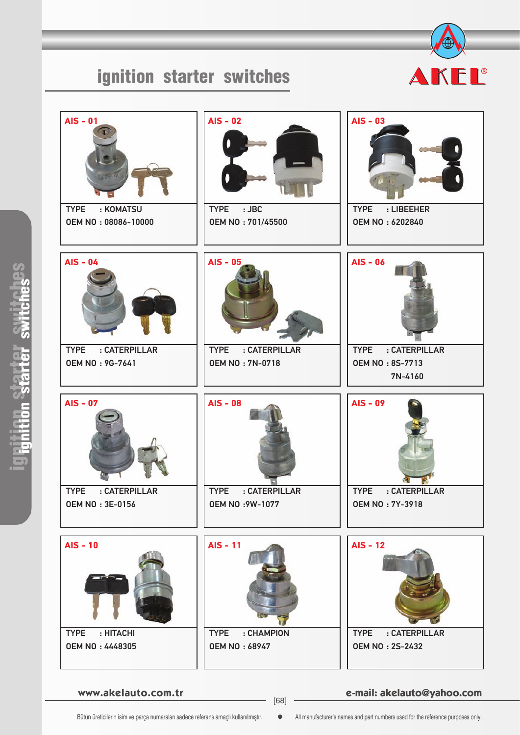## ignition starter switches



| $AIS - 01$                                                    | $AIS - 02$                                                           | $AIS - 03$                                                                      |
|---------------------------------------------------------------|----------------------------------------------------------------------|---------------------------------------------------------------------------------|
| : KOMATSU                                                     | $:$ JBC                                                              | <b>TYPE</b>                                                                     |
| <b>TYPE</b>                                                   | <b>TYPE</b>                                                          | : LIBEEHER                                                                      |
| OEM NO: 08086-10000                                           | OEM NO: 701/45500                                                    | <b>OEM NO: 6202840</b>                                                          |
| $AIS - 04$<br><b>TYPE</b><br>: CATERPILLAR<br>OEM NO: 9G-7641 | $AIS - 05$<br><b>TYPE</b><br>: CATERPILLAR<br><b>OEM NO: 7N-0718</b> | $AIS - 06$<br>: CATERPILLAR<br><b>TYPE</b><br><b>OEM NO: 8S-7713</b><br>7N-4160 |
|                                                               |                                                                      |                                                                                 |
| $AIS - 07$                                                    | <b>AIS - 08</b>                                                      | <b>AIS - 09</b>                                                                 |
| <b>TYPE</b>                                                   | <b>TYPE</b>                                                          | <b>TYPE</b>                                                                     |
| : CATERPILLAR                                                 | : CATERPILLAR                                                        | : CATERPILLAR                                                                   |
| <b>OEM NO: 3E-0156</b>                                        | 0EM NO : 9W-1077                                                     | <b>OEM NO: 7Y-3918</b>                                                          |

ignition starter switches<sup>9</sup>

**9 Emittion starter switchess** 

**www.akelauto.com.tr e-mail: akelauto@yahoo.com** [68]